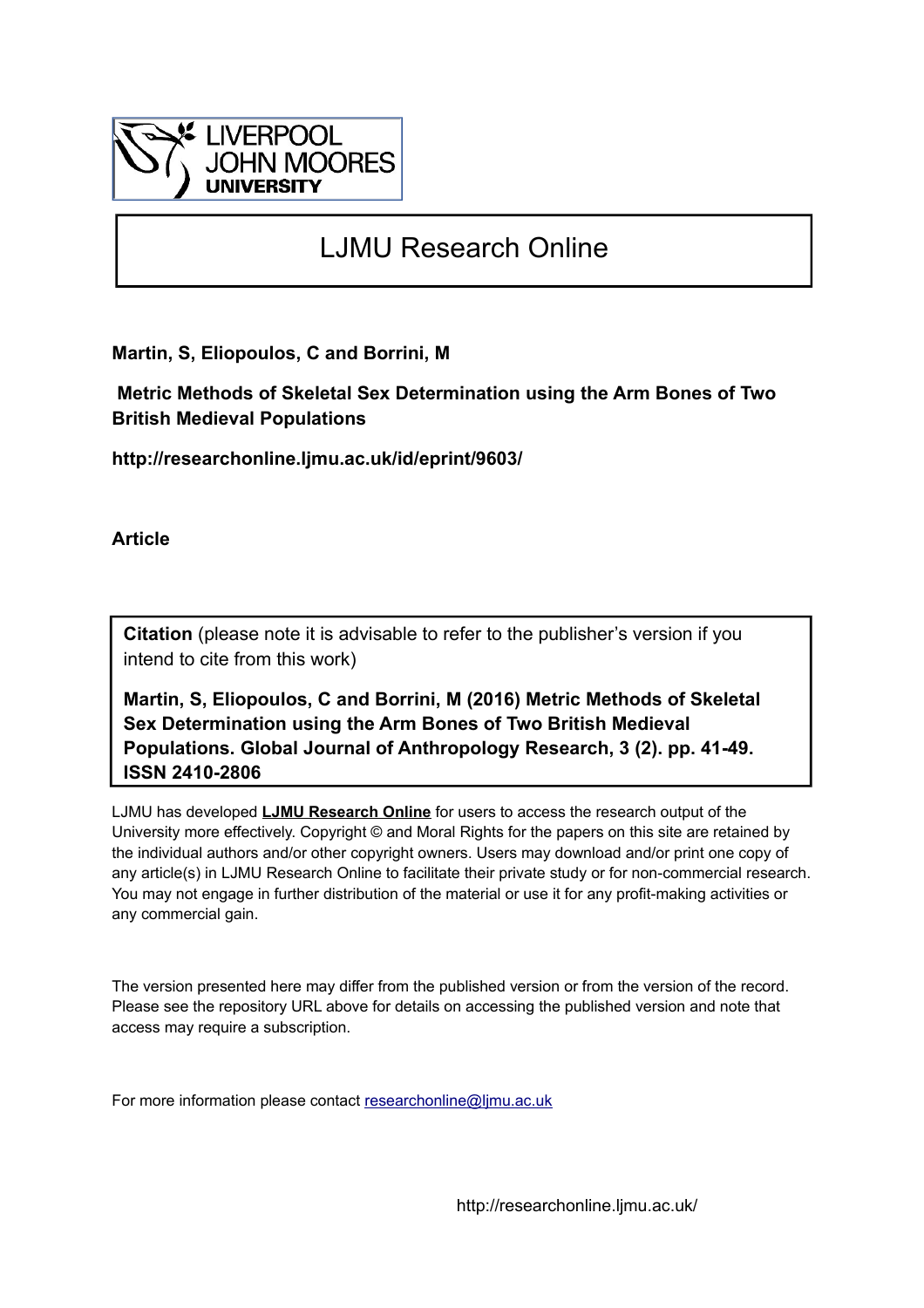

# LJMU Research Online

**Martin, S, Eliopoulos, C and Borrini, M**

 **Metric Methods of Skeletal Sex Determination using the Arm Bones of Two British Medieval Populations**

**http://researchonline.ljmu.ac.uk/id/eprint/9603/**

**Article**

**Citation** (please note it is advisable to refer to the publisher's version if you intend to cite from this work)

**Martin, S, Eliopoulos, C and Borrini, M (2016) Metric Methods of Skeletal Sex Determination using the Arm Bones of Two British Medieval Populations. Global Journal of Anthropology Research, 3 (2). pp. 41-49. ISSN 2410-2806** 

LJMU has developed **[LJMU Research Online](http://researchonline.ljmu.ac.uk/)** for users to access the research output of the University more effectively. Copyright © and Moral Rights for the papers on this site are retained by the individual authors and/or other copyright owners. Users may download and/or print one copy of any article(s) in LJMU Research Online to facilitate their private study or for non-commercial research. You may not engage in further distribution of the material or use it for any profit-making activities or any commercial gain.

The version presented here may differ from the published version or from the version of the record. Please see the repository URL above for details on accessing the published version and note that access may require a subscription.

For more information please contact [researchonline@ljmu.ac.uk](mailto:researchonline@ljmu.ac.uk)

http://researchonline.ljmu.ac.uk/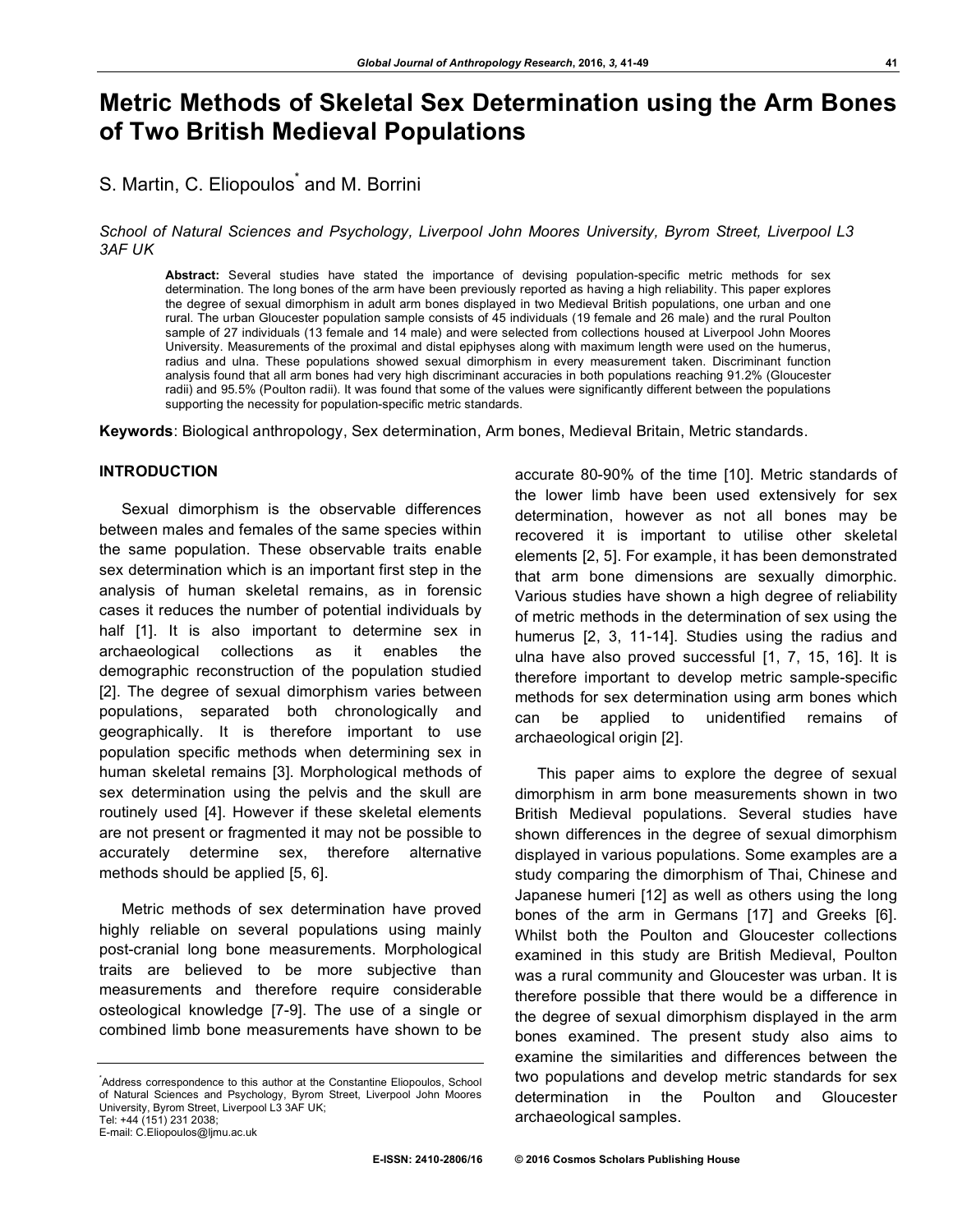## **Metric Methods of Skeletal Sex Determination using the Arm Bones of Two British Medieval Populations**

### S. Martin, C. Eliopoulos<sup>\*</sup> and M. Borrini

#### *School of Natural Sciences and Psychology, Liverpool John Moores University, Byrom Street, Liverpool L3 3AF UK*

**Abstract:** Several studies have stated the importance of devising population-specific metric methods for sex determination. The long bones of the arm have been previously reported as having a high reliability. This paper explores the degree of sexual dimorphism in adult arm bones displayed in two Medieval British populations, one urban and one rural. The urban Gloucester population sample consists of 45 individuals (19 female and 26 male) and the rural Poulton sample of 27 individuals (13 female and 14 male) and were selected from collections housed at Liverpool John Moores University. Measurements of the proximal and distal epiphyses along with maximum length were used on the humerus, radius and ulna. These populations showed sexual dimorphism in every measurement taken. Discriminant function analysis found that all arm bones had very high discriminant accuracies in both populations reaching 91.2% (Gloucester radii) and 95.5% (Poulton radii). It was found that some of the values were significantly different between the populations supporting the necessity for population-specific metric standards.

**Keywords**: Biological anthropology, Sex determination, Arm bones, Medieval Britain, Metric standards.

#### **INTRODUCTION**

Sexual dimorphism is the observable differences between males and females of the same species within the same population. These observable traits enable sex determination which is an important first step in the analysis of human skeletal remains, as in forensic cases it reduces the number of potential individuals by half [1]. It is also important to determine sex in archaeological collections as it enables the demographic reconstruction of the population studied [2]. The degree of sexual dimorphism varies between populations, separated both chronologically and geographically. It is therefore important to use population specific methods when determining sex in human skeletal remains [3]. Morphological methods of sex determination using the pelvis and the skull are routinely used [4]. However if these skeletal elements are not present or fragmented it may not be possible to accurately determine sex, therefore alternative methods should be applied [5, 6].

Metric methods of sex determination have proved highly reliable on several populations using mainly post-cranial long bone measurements. Morphological traits are believed to be more subjective than measurements and therefore require considerable osteological knowledge [7-9]. The use of a single or combined limb bone measurements have shown to be

E-mail: C.Eliopoulos@ljmu.ac.uk

accurate 80-90% of the time [10]. Metric standards of the lower limb have been used extensively for sex determination, however as not all bones may be recovered it is important to utilise other skeletal elements [2, 5]. For example, it has been demonstrated that arm bone dimensions are sexually dimorphic. Various studies have shown a high degree of reliability of metric methods in the determination of sex using the humerus [2, 3, 11-14]. Studies using the radius and ulna have also proved successful [1, 7, 15, 16]. It is therefore important to develop metric sample-specific methods for sex determination using arm bones which can be applied to unidentified remains of archaeological origin [2].

This paper aims to explore the degree of sexual dimorphism in arm bone measurements shown in two British Medieval populations. Several studies have shown differences in the degree of sexual dimorphism displayed in various populations. Some examples are a study comparing the dimorphism of Thai, Chinese and Japanese humeri [12] as well as others using the long bones of the arm in Germans [17] and Greeks [6]. Whilst both the Poulton and Gloucester collections examined in this study are British Medieval, Poulton was a rural community and Gloucester was urban. It is therefore possible that there would be a difference in the degree of sexual dimorphism displayed in the arm bones examined. The present study also aims to examine the similarities and differences between the two populations and develop metric standards for sex determination in the Poulton and Gloucester archaeological samples.

<sup>\*</sup> Address correspondence to this author at the Constantine Eliopoulos, School of Natural Sciences and Psychology, Byrom Street, Liverpool John Moores University, Byrom Street, Liverpool L3 3AF UK; Tel: +44 (151) 231 2038;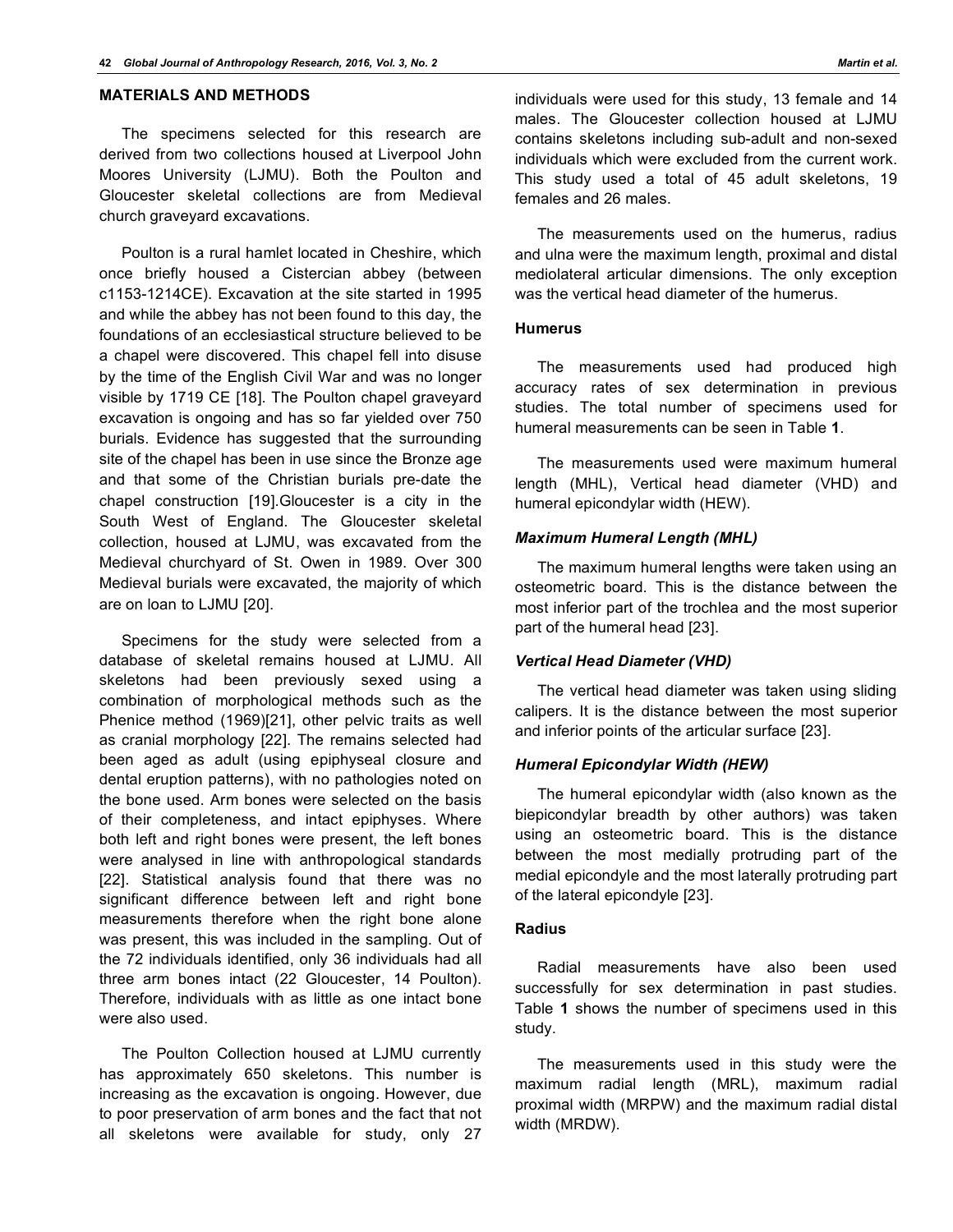#### **MATERIALS AND METHODS**

The specimens selected for this research are derived from two collections housed at Liverpool John Moores University (LJMU). Both the Poulton and Gloucester skeletal collections are from Medieval church graveyard excavations.

Poulton is a rural hamlet located in Cheshire, which once briefly housed a Cistercian abbey (between c1153-1214CE). Excavation at the site started in 1995 and while the abbey has not been found to this day, the foundations of an ecclesiastical structure believed to be a chapel were discovered. This chapel fell into disuse by the time of the English Civil War and was no longer visible by 1719 CE [18]. The Poulton chapel graveyard excavation is ongoing and has so far yielded over 750 burials. Evidence has suggested that the surrounding site of the chapel has been in use since the Bronze age and that some of the Christian burials pre-date the chapel construction [19].Gloucester is a city in the South West of England. The Gloucester skeletal collection, housed at LJMU, was excavated from the Medieval churchyard of St. Owen in 1989. Over 300 Medieval burials were excavated, the majority of which are on loan to LJMU [20].

Specimens for the study were selected from a database of skeletal remains housed at LJMU. All skeletons had been previously sexed using a combination of morphological methods such as the Phenice method (1969)[21], other pelvic traits as well as cranial morphology [22]. The remains selected had been aged as adult (using epiphyseal closure and dental eruption patterns), with no pathologies noted on the bone used. Arm bones were selected on the basis of their completeness, and intact epiphyses. Where both left and right bones were present, the left bones were analysed in line with anthropological standards [22]. Statistical analysis found that there was no significant difference between left and right bone measurements therefore when the right bone alone was present, this was included in the sampling. Out of the 72 individuals identified, only 36 individuals had all three arm bones intact (22 Gloucester, 14 Poulton). Therefore, individuals with as little as one intact bone were also used.

The Poulton Collection housed at LJMU currently has approximately 650 skeletons. This number is increasing as the excavation is ongoing. However, due to poor preservation of arm bones and the fact that not all skeletons were available for study, only 27

individuals were used for this study, 13 female and 14 males. The Gloucester collection housed at LJMU contains skeletons including sub-adult and non-sexed individuals which were excluded from the current work. This study used a total of 45 adult skeletons, 19 females and 26 males.

The measurements used on the humerus, radius and ulna were the maximum length, proximal and distal mediolateral articular dimensions. The only exception was the vertical head diameter of the humerus.

#### **Humerus**

The measurements used had produced high accuracy rates of sex determination in previous studies. The total number of specimens used for humeral measurements can be seen in Table **1**.

The measurements used were maximum humeral length (MHL), Vertical head diameter (VHD) and humeral epicondylar width (HEW).

#### *Maximum Humeral Length (MHL)*

The maximum humeral lengths were taken using an osteometric board. This is the distance between the most inferior part of the trochlea and the most superior part of the humeral head [23].

#### *Vertical Head Diameter (VHD)*

The vertical head diameter was taken using sliding calipers. It is the distance between the most superior and inferior points of the articular surface [23].

#### *Humeral Epicondylar Width (HEW)*

The humeral epicondylar width (also known as the biepicondylar breadth by other authors) was taken using an osteometric board. This is the distance between the most medially protruding part of the medial epicondyle and the most laterally protruding part of the lateral epicondyle [23].

#### **Radius**

Radial measurements have also been used successfully for sex determination in past studies. Table **1** shows the number of specimens used in this study.

The measurements used in this study were the maximum radial length (MRL), maximum radial proximal width (MRPW) and the maximum radial distal width (MRDW).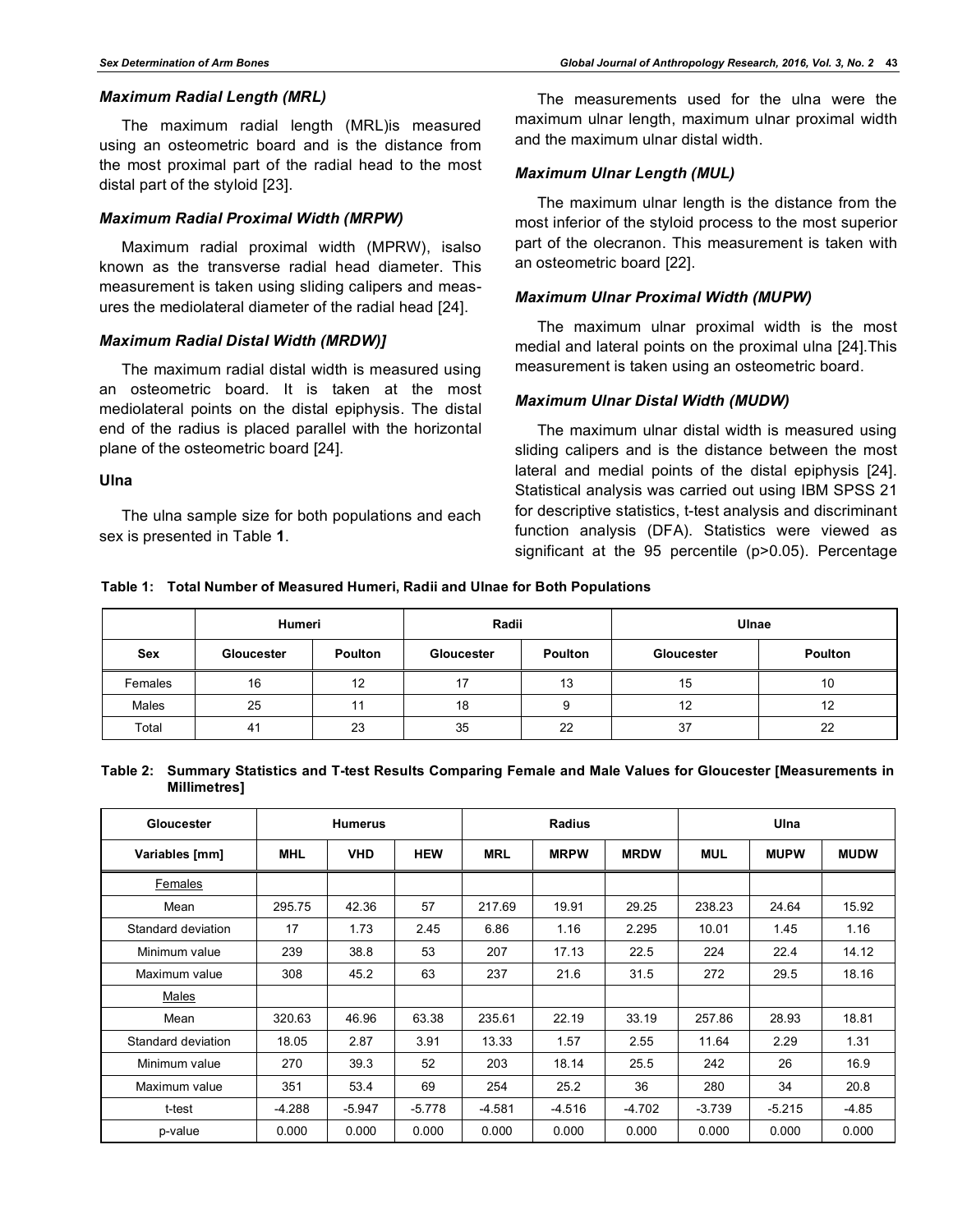#### *Maximum Radial Length (MRL)*

The maximum radial length (MRL)is measured using an osteometric board and is the distance from the most proximal part of the radial head to the most distal part of the styloid [23].

#### *Maximum Radial Proximal Width (MRPW)*

Maximum radial proximal width (MPRW), isalso known as the transverse radial head diameter. This measurement is taken using sliding calipers and measures the mediolateral diameter of the radial head [24].

#### *Maximum Radial Distal Width (MRDW)]*

The maximum radial distal width is measured using an osteometric board. It is taken at the most mediolateral points on the distal epiphysis. The distal end of the radius is placed parallel with the horizontal plane of the osteometric board [24].

**Ulna**

The ulna sample size for both populations and each sex is presented in Table **1**.

The measurements used for the ulna were the maximum ulnar length, maximum ulnar proximal width and the maximum ulnar distal width.

#### *Maximum Ulnar Length (MUL)*

The maximum ulnar length is the distance from the most inferior of the styloid process to the most superior part of the olecranon. This measurement is taken with an osteometric board [22].

#### *Maximum Ulnar Proximal Width (MUPW)*

The maximum ulnar proximal width is the most medial and lateral points on the proximal ulna [24].This measurement is taken using an osteometric board.

#### *Maximum Ulnar Distal Width (MUDW)*

The maximum ulnar distal width is measured using sliding calipers and is the distance between the most lateral and medial points of the distal epiphysis [24]. Statistical analysis was carried out using IBM SPSS 21 for descriptive statistics, t-test analysis and discriminant function analysis (DFA). Statistics were viewed as significant at the 95 percentile (p>0.05). Percentage

|  | Table 1: Total Number of Measured Humeri, Radii and Ulnae for Both Populations |  |
|--|--------------------------------------------------------------------------------|--|
|--|--------------------------------------------------------------------------------|--|

|            | Humeri     |                | Radii                 |    | Ulnae      |                |  |
|------------|------------|----------------|-----------------------|----|------------|----------------|--|
| <b>Sex</b> | Gloucester | <b>Poulton</b> | Poulton<br>Gloucester |    | Gloucester | <b>Poulton</b> |  |
| Females    | 16         | 12             | 17                    | 13 | 15         | 10             |  |
| Males      | 25         | 11             | 18                    | 9  | 12         | 12             |  |
| Total      | 41         | 23             | 35                    | 22 | 37         | 22             |  |

| Table 2: Summary Statistics and T-test Results Comparing Female and Male Values for Gloucester [Measurements in |  |  |  |  |
|-----------------------------------------------------------------------------------------------------------------|--|--|--|--|
| Millimetres]                                                                                                    |  |  |  |  |

| Gloucester         |            | <b>Humerus</b> |            |            | <b>Radius</b> |             |            | Ulna        |             |  |  |
|--------------------|------------|----------------|------------|------------|---------------|-------------|------------|-------------|-------------|--|--|
| Variables [mm]     | <b>MHL</b> | <b>VHD</b>     | <b>HEW</b> | <b>MRL</b> | <b>MRPW</b>   | <b>MRDW</b> | <b>MUL</b> | <b>MUPW</b> | <b>MUDW</b> |  |  |
| Females            |            |                |            |            |               |             |            |             |             |  |  |
| Mean               | 295.75     | 42.36          | 57         | 217.69     | 19.91         | 29.25       | 238.23     | 24.64       | 15.92       |  |  |
| Standard deviation | 17         | 1.73           | 2.45       | 6.86       | 1.16          | 2.295       | 10.01      | 1.45        | 1.16        |  |  |
| Minimum value      | 239        | 38.8           | 53         | 207        | 17.13         | 22.5        | 224        | 22.4        | 14.12       |  |  |
| Maximum value      | 308        | 45.2           | 63         | 237        | 21.6          | 31.5        | 272        | 29.5        | 18.16       |  |  |
| Males              |            |                |            |            |               |             |            |             |             |  |  |
| Mean               | 320.63     | 46.96          | 63.38      | 235.61     | 22.19         | 33.19       | 257.86     | 28.93       | 18.81       |  |  |
| Standard deviation | 18.05      | 2.87           | 3.91       | 13.33      | 1.57          | 2.55        | 11.64      | 2.29        | 1.31        |  |  |
| Minimum value      | 270        | 39.3           | 52         | 203        | 18.14         | 25.5        | 242        | 26          | 16.9        |  |  |
| Maximum value      | 351        | 53.4           | 69         | 254        | 25.2          | 36          | 280        | 34          | 20.8        |  |  |
| t-test             | $-4.288$   | $-5.947$       | $-5.778$   | $-4.581$   | $-4.516$      | $-4.702$    | $-3.739$   | $-5.215$    | $-4.85$     |  |  |
| p-value            | 0.000      | 0.000          | 0.000      | 0.000      | 0.000         | 0.000       | 0.000      | 0.000       | 0.000       |  |  |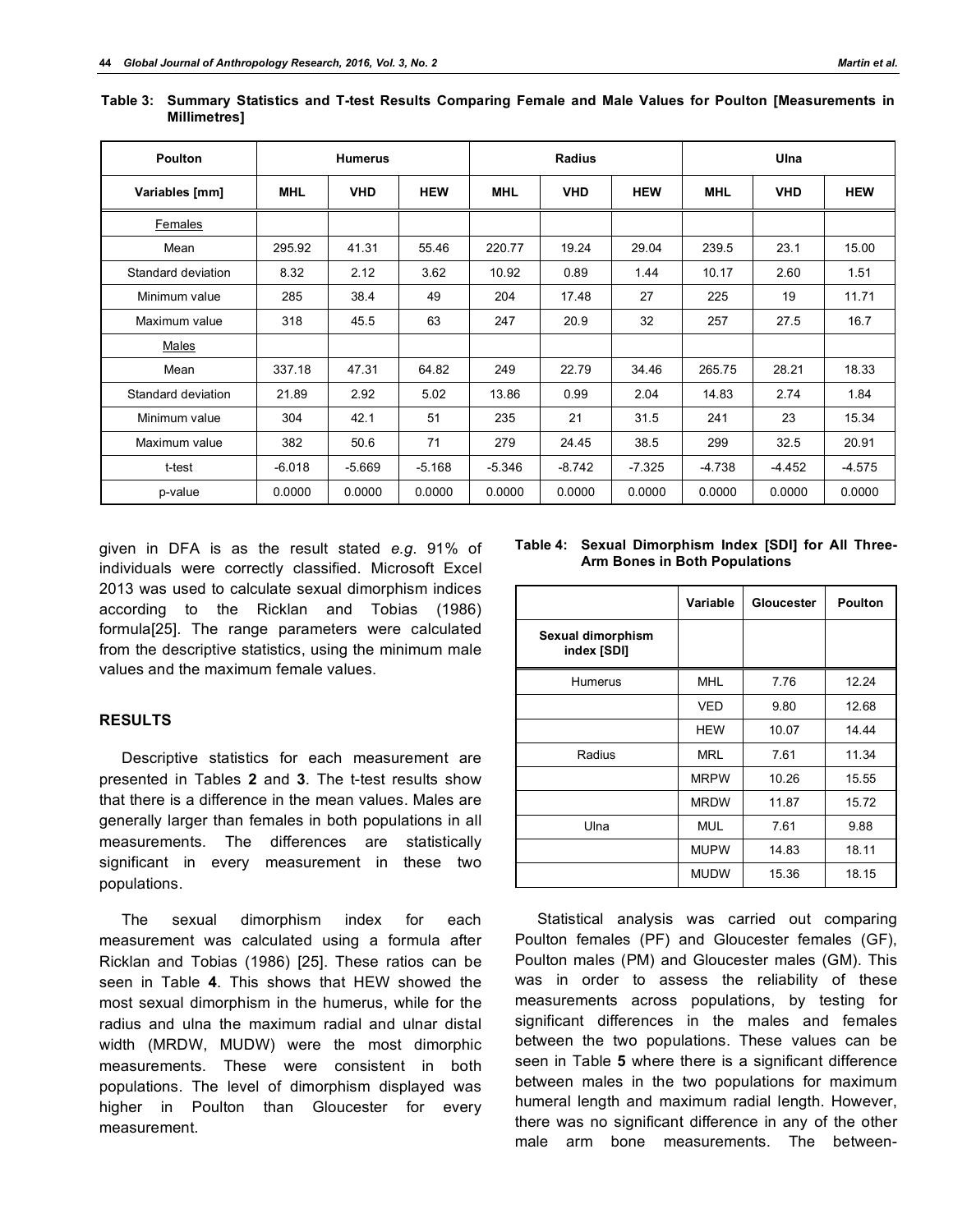| <b>Poulton</b>     |            | <b>Humerus</b> |            | <b>Radius</b> |            |            | Ulna       |            |            |  |
|--------------------|------------|----------------|------------|---------------|------------|------------|------------|------------|------------|--|
| Variables [mm]     | <b>MHL</b> | <b>VHD</b>     | <b>HEW</b> | <b>MHL</b>    | <b>VHD</b> | <b>HEW</b> | <b>MHL</b> | <b>VHD</b> | <b>HEW</b> |  |
| <b>Females</b>     |            |                |            |               |            |            |            |            |            |  |
| Mean               | 295.92     | 41.31          | 55.46      | 220.77        | 19.24      | 29.04      | 239.5      | 23.1       | 15.00      |  |
| Standard deviation | 8.32       | 2.12           | 3.62       | 10.92         | 0.89       | 1.44       | 10.17      | 2.60       | 1.51       |  |
| Minimum value      | 285        | 38.4           | 49         | 204           | 17.48      | 27         | 225        | 19         | 11.71      |  |
| Maximum value      | 318        | 45.5           | 63         | 247           | 20.9       | 32         | 257        | 27.5       | 16.7       |  |
| Males              |            |                |            |               |            |            |            |            |            |  |
| Mean               | 337.18     | 47.31          | 64.82      | 249           | 22.79      | 34.46      | 265.75     | 28.21      | 18.33      |  |
| Standard deviation | 21.89      | 2.92           | 5.02       | 13.86         | 0.99       | 2.04       | 14.83      | 2.74       | 1.84       |  |
| Minimum value      | 304        | 42.1           | 51         | 235           | 21         | 31.5       | 241        | 23         | 15.34      |  |
| Maximum value      | 382        | 50.6           | 71         | 279           | 24.45      | 38.5       | 299        | 32.5       | 20.91      |  |
| t-test             | $-6.018$   | $-5.669$       | $-5.168$   | $-5.346$      | $-8.742$   | $-7.325$   | $-4.738$   | $-4.452$   | $-4.575$   |  |
| p-value            | 0.0000     | 0.0000         | 0.0000     | 0.0000        | 0.0000     | 0.0000     | 0.0000     | 0.0000     | 0.0000     |  |

**Table 3: Summary Statistics and T-test Results Comparing Female and Male Values for Poulton [Measurements in Millimetres]**

given in DFA is as the result stated *e.g*. 91% of individuals were correctly classified. Microsoft Excel 2013 was used to calculate sexual dimorphism indices according to the Ricklan and Tobias (1986) formula[25]. The range parameters were calculated from the descriptive statistics, using the minimum male values and the maximum female values.

#### **RESULTS**

Descriptive statistics for each measurement are presented in Tables **2** and **3**. The t-test results show that there is a difference in the mean values. Males are generally larger than females in both populations in all measurements. The differences are statistically significant in every measurement in these two populations.

The sexual dimorphism index for each measurement was calculated using a formula after Ricklan and Tobias (1986) [25]. These ratios can be seen in Table **4**. This shows that HEW showed the most sexual dimorphism in the humerus, while for the radius and ulna the maximum radial and ulnar distal width (MRDW, MUDW) were the most dimorphic measurements. These were consistent in both populations. The level of dimorphism displayed was higher in Poulton than Gloucester for every measurement.

| Table 4: Sexual Dimorphism Index [SDI] for All Three- |
|-------------------------------------------------------|
| <b>Arm Bones in Both Populations</b>                  |

|                                  | Variable    | Gloucester | <b>Poulton</b> |
|----------------------------------|-------------|------------|----------------|
| Sexual dimorphism<br>index [SDI] |             |            |                |
| <b>Humerus</b>                   | MHL         | 7.76       | 12.24          |
|                                  | VED         | 9.80       | 12.68          |
|                                  | <b>HEW</b>  | 10.07      | 14.44          |
| Radius                           | MRL         | 7.61       | 11.34          |
|                                  | <b>MRPW</b> | 10.26      | 15.55          |
|                                  | <b>MRDW</b> | 11.87      | 15.72          |
| Ulna                             | MUL         | 7.61       | 9.88           |
|                                  | <b>MUPW</b> | 14.83      | 18.11          |
|                                  | <b>MUDW</b> | 15.36      | 18.15          |

Statistical analysis was carried out comparing Poulton females (PF) and Gloucester females (GF), Poulton males (PM) and Gloucester males (GM). This was in order to assess the reliability of these measurements across populations, by testing for significant differences in the males and females between the two populations. These values can be seen in Table **5** where there is a significant difference between males in the two populations for maximum humeral length and maximum radial length. However, there was no significant difference in any of the other male arm bone measurements. The between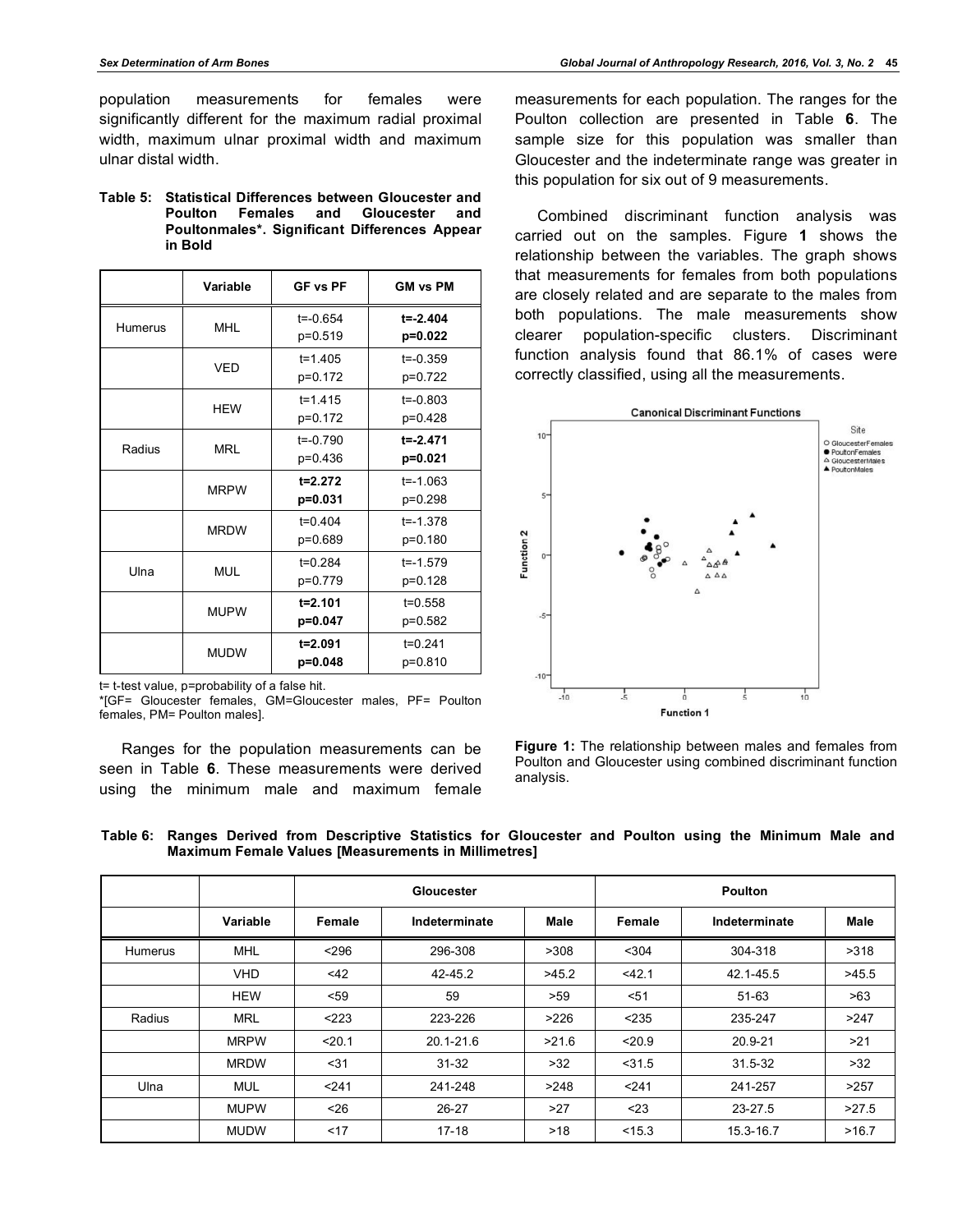population measurements for females were significantly different for the maximum radial proximal width, maximum ulnar proximal width and maximum ulnar distal width.

#### **Table 5: Statistical Differences between Gloucester and Poulton Females and Gloucester and Poultonmales\*. Significant Differences Appear in Bold**

|                | Variable    | <b>GF vs PF</b>           | <b>GM vs PM</b>           |
|----------------|-------------|---------------------------|---------------------------|
| <b>Humerus</b> | <b>MHL</b>  | $t = -0.654$<br>p=0.519   | $t = -2.404$<br>$p=0.022$ |
|                | <b>VFD</b>  | $t = 1.405$<br>p=0.172    | $t = -0.359$<br>p=0.722   |
|                | <b>HFW</b>  | $t = 1.415$<br>p=0.172    | $t = -0.803$<br>p=0.428   |
| Radius         | <b>MRL</b>  | $t = -0.790$<br>$p=0.436$ | $t = -2.471$<br>$p=0.021$ |
|                | <b>MRPW</b> | $t = 2.272$<br>$p=0.031$  | $t = -1.063$<br>p=0.298   |
|                | <b>MRDW</b> | $t=0.404$<br>p=0.689      | $t = -1.378$<br>p=0.180   |
| Ulna           | <b>MUL</b>  | $t = 0.284$<br>p=0.779    | $t = -1.579$<br>p=0.128   |
|                | <b>MUPW</b> | $t = 2.101$<br>p=0.047    | $t = 0.558$<br>p=0.582    |
|                | <b>MUDW</b> | $t = 2.091$<br>p=0.048    | $t = 0.241$<br>p=0.810    |

t= t-test value, p=probability of a false hit.

\*[GF= Gloucester females, GM=Gloucester males, PF= Poulton females, PM= Poulton males].

Ranges for the population measurements can be seen in Table **6**. These measurements were derived using the minimum male and maximum female

measurements for each population. The ranges for the Poulton collection are presented in Table **6**. The sample size for this population was smaller than Gloucester and the indeterminate range was greater in this population for six out of 9 measurements.

Combined discriminant function analysis was carried out on the samples. Figure **1** shows the relationship between the variables. The graph shows that measurements for females from both populations are closely related and are separate to the males from both populations. The male measurements show clearer population-specific clusters. Discriminant function analysis found that 86.1% of cases were correctly classified, using all the measurements.



**Figure 1:** The relationship between males and females from Poulton and Gloucester using combined discriminant function analysis.

|  |  | Table 6: Ranges Derived from Descriptive Statistics for Gloucester and Poulton using the Minimum Male and |  |  |  |  |  |
|--|--|-----------------------------------------------------------------------------------------------------------|--|--|--|--|--|
|  |  | <b>Maximum Female Values [Measurements in Millimetres]</b>                                                |  |  |  |  |  |

|         |             |        | Gloucester    |       | <b>Poulton</b> |               |       |  |
|---------|-------------|--------|---------------|-------|----------------|---------------|-------|--|
|         | Variable    | Female | Indeterminate | Male  | Female         | Indeterminate | Male  |  |
| Humerus | <b>MHL</b>  | < 296  | 296-308       | >308  | $304$          | 304-318       | >318  |  |
|         | <b>VHD</b>  | <42    | 42-45.2       | >45.2 | $<$ 42.1       | 42.1-45.5     | >45.5 |  |
|         | <b>HEW</b>  | < 59   | 59            | >59   | 51             | $51 - 63$     | >63   |  |
| Radius  | <b>MRL</b>  | < 223  | 223-226       | >226  | < 235          | 235-247       | >247  |  |
|         | <b>MRPW</b> | < 20.1 | $20.1 - 21.6$ | >21.6 | < 20.9         | 20.9-21       | >21   |  |
|         | <b>MRDW</b> | $31$   | $31 - 32$     | >32   | $<$ 31.5       | 31.5-32       | >32   |  |
| Ulna    | <b>MUL</b>  | < 241  | 241-248       | >248  | < 241          | 241-257       | >257  |  |
|         | <b>MUPW</b> | $26$   | $26 - 27$     | >27   | $23$           | 23-27.5       | >27.5 |  |
|         | <b>MUDW</b> | < 17   | $17 - 18$     | >18   | < 15.3         | 15.3-16.7     | >16.7 |  |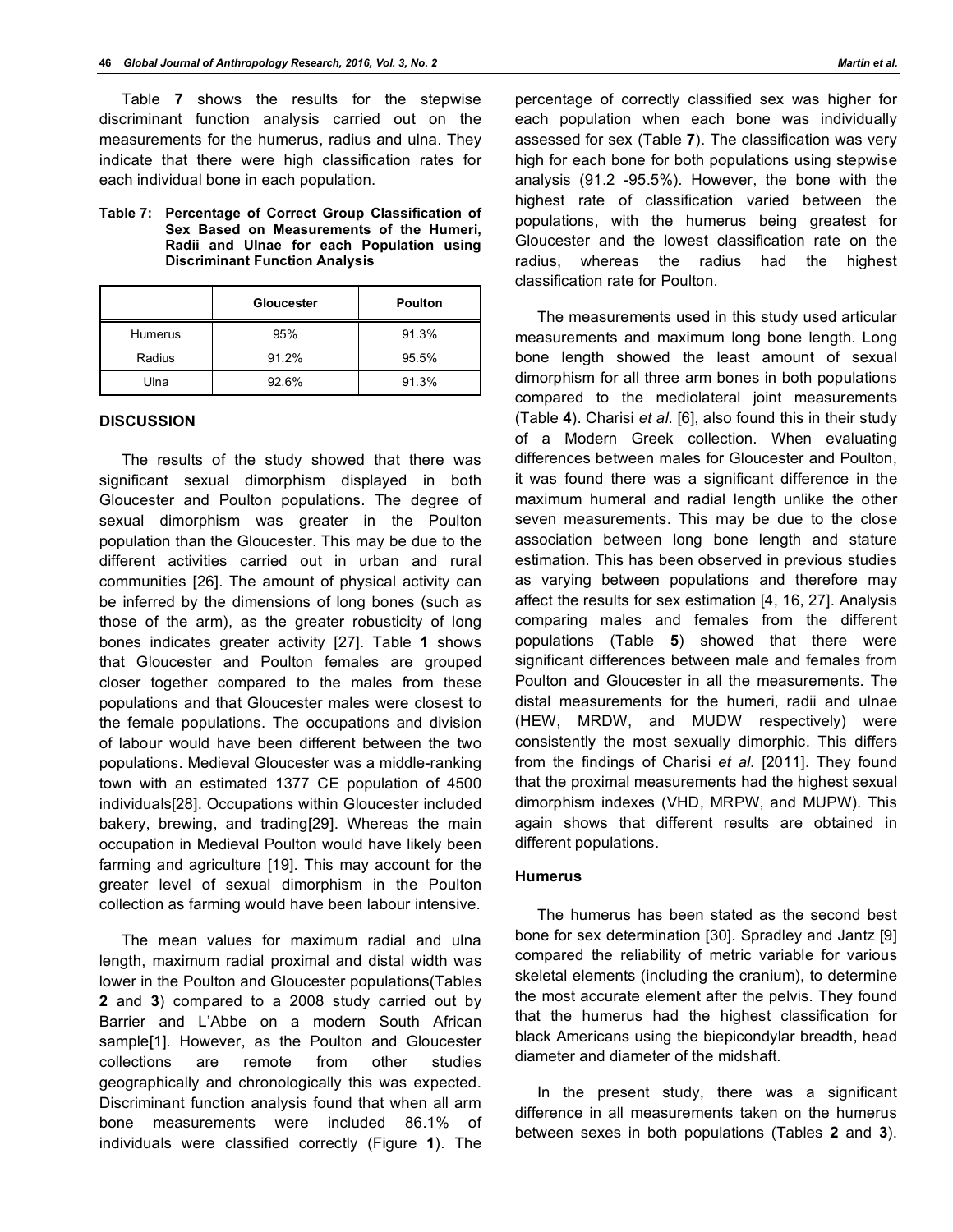Table **7** shows the results for the stepwise discriminant function analysis carried out on the measurements for the humerus, radius and ulna. They indicate that there were high classification rates for each individual bone in each population.

**Table 7: Percentage of Correct Group Classification of Sex Based on Measurements of the Humeri, Radii and Ulnae for each Population using Discriminant Function Analysis**

|         | Gloucester | <b>Poulton</b> |
|---------|------------|----------------|
| Humerus | 95%        | 91.3%          |
| Radius  | 91.2%      | 95.5%          |
| Ulna    | 92.6%      | 91.3%          |

#### **DISCUSSION**

The results of the study showed that there was significant sexual dimorphism displayed in both Gloucester and Poulton populations. The degree of sexual dimorphism was greater in the Poulton population than the Gloucester. This may be due to the different activities carried out in urban and rural communities [26]. The amount of physical activity can be inferred by the dimensions of long bones (such as those of the arm), as the greater robusticity of long bones indicates greater activity [27]. Table **1** shows that Gloucester and Poulton females are grouped closer together compared to the males from these populations and that Gloucester males were closest to the female populations. The occupations and division of labour would have been different between the two populations. Medieval Gloucester was a middle-ranking town with an estimated 1377 CE population of 4500 individuals[28]. Occupations within Gloucester included bakery, brewing, and trading[29]. Whereas the main occupation in Medieval Poulton would have likely been farming and agriculture [19]. This may account for the greater level of sexual dimorphism in the Poulton collection as farming would have been labour intensive.

The mean values for maximum radial and ulna length, maximum radial proximal and distal width was lower in the Poulton and Gloucester populations(Tables **2** and **3**) compared to a 2008 study carried out by Barrier and L'Abbe on a modern South African sample[1]. However, as the Poulton and Gloucester collections are remote from other studies geographically and chronologically this was expected. Discriminant function analysis found that when all arm bone measurements were included 86.1% of individuals were classified correctly (Figure **1**). The

percentage of correctly classified sex was higher for each population when each bone was individually assessed for sex (Table **7**). The classification was very high for each bone for both populations using stepwise analysis (91.2 -95.5%). However, the bone with the highest rate of classification varied between the populations, with the humerus being greatest for Gloucester and the lowest classification rate on the radius, whereas the radius had the highest classification rate for Poulton.

The measurements used in this study used articular measurements and maximum long bone length. Long bone length showed the least amount of sexual dimorphism for all three arm bones in both populations compared to the mediolateral joint measurements (Table **4**). Charisi *et al*. [6], also found this in their study of a Modern Greek collection. When evaluating differences between males for Gloucester and Poulton, it was found there was a significant difference in the maximum humeral and radial length unlike the other seven measurements. This may be due to the close association between long bone length and stature estimation. This has been observed in previous studies as varying between populations and therefore may affect the results for sex estimation [4, 16, 27]. Analysis comparing males and females from the different populations (Table **5**) showed that there were significant differences between male and females from Poulton and Gloucester in all the measurements. The distal measurements for the humeri, radii and ulnae (HEW, MRDW, and MUDW respectively) were consistently the most sexually dimorphic. This differs from the findings of Charisi *et al*. [2011]. They found that the proximal measurements had the highest sexual dimorphism indexes (VHD, MRPW, and MUPW). This again shows that different results are obtained in different populations.

#### **Humerus**

The humerus has been stated as the second best bone for sex determination [30]. Spradley and Jantz [9] compared the reliability of metric variable for various skeletal elements (including the cranium), to determine the most accurate element after the pelvis. They found that the humerus had the highest classification for black Americans using the biepicondylar breadth, head diameter and diameter of the midshaft.

In the present study, there was a significant difference in all measurements taken on the humerus between sexes in both populations (Tables **2** and **3**).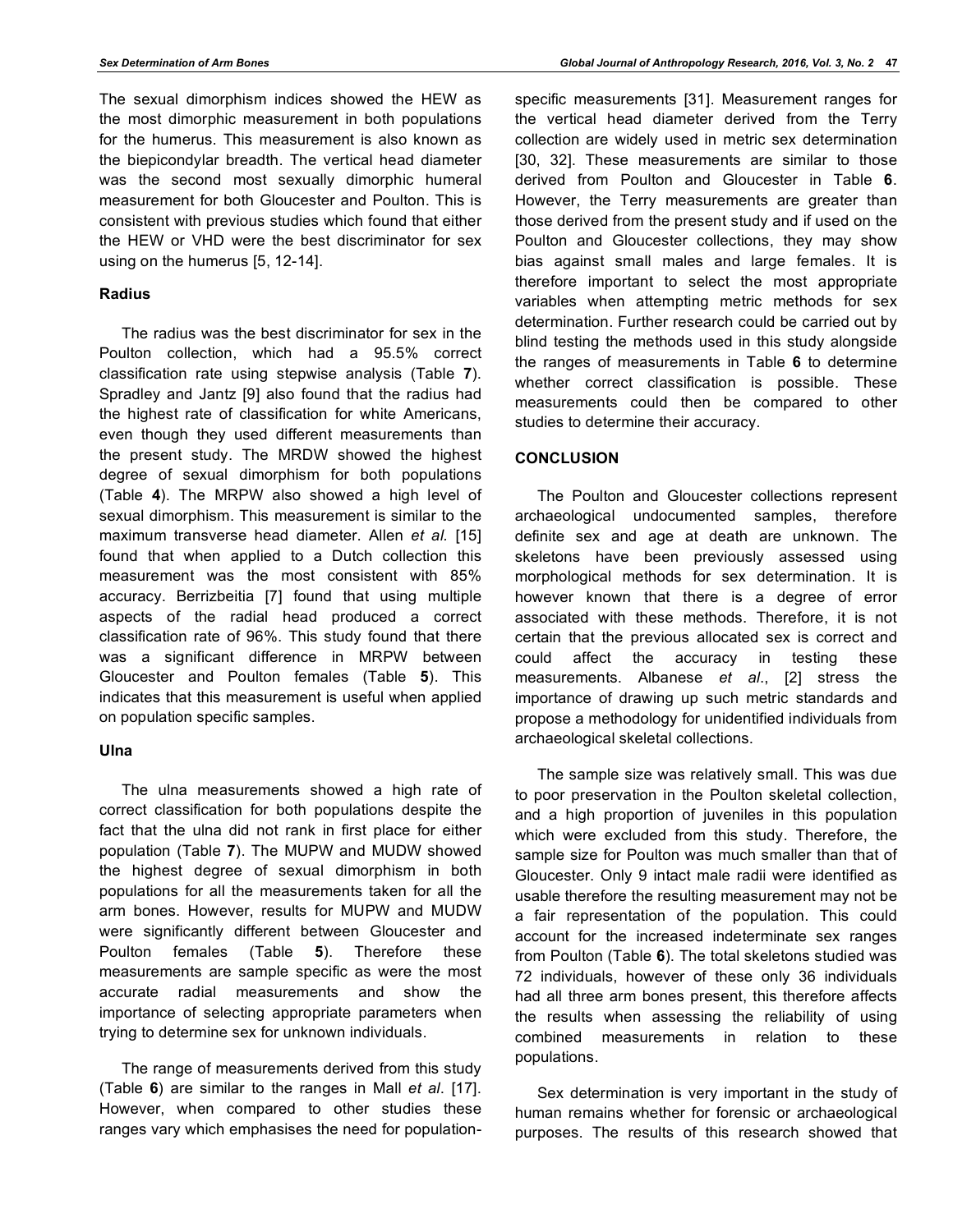The sexual dimorphism indices showed the HEW as the most dimorphic measurement in both populations for the humerus. This measurement is also known as the biepicondylar breadth. The vertical head diameter was the second most sexually dimorphic humeral measurement for both Gloucester and Poulton. This is consistent with previous studies which found that either the HEW or VHD were the best discriminator for sex using on the humerus [5, 12-14].

#### **Radius**

The radius was the best discriminator for sex in the Poulton collection, which had a 95.5% correct classification rate using stepwise analysis (Table **7**). Spradley and Jantz [9] also found that the radius had the highest rate of classification for white Americans, even though they used different measurements than the present study. The MRDW showed the highest degree of sexual dimorphism for both populations (Table **4**). The MRPW also showed a high level of sexual dimorphism. This measurement is similar to the maximum transverse head diameter. Allen *et al.* [15] found that when applied to a Dutch collection this measurement was the most consistent with 85% accuracy. Berrizbeitia [7] found that using multiple aspects of the radial head produced a correct classification rate of 96%. This study found that there was a significant difference in MRPW between Gloucester and Poulton females (Table **5**). This indicates that this measurement is useful when applied on population specific samples.

#### **Ulna**

The ulna measurements showed a high rate of correct classification for both populations despite the fact that the ulna did not rank in first place for either population (Table **7**). The MUPW and MUDW showed the highest degree of sexual dimorphism in both populations for all the measurements taken for all the arm bones. However, results for MUPW and MUDW were significantly different between Gloucester and Poulton females (Table **5**). Therefore these measurements are sample specific as were the most accurate radial measurements and show the importance of selecting appropriate parameters when trying to determine sex for unknown individuals.

The range of measurements derived from this study (Table **6**) are similar to the ranges in Mall *et al*. [17]. However, when compared to other studies these ranges vary which emphasises the need for populationspecific measurements [31]. Measurement ranges for the vertical head diameter derived from the Terry collection are widely used in metric sex determination [30, 32]. These measurements are similar to those derived from Poulton and Gloucester in Table **6**. However, the Terry measurements are greater than those derived from the present study and if used on the Poulton and Gloucester collections, they may show bias against small males and large females. It is therefore important to select the most appropriate variables when attempting metric methods for sex determination. Further research could be carried out by blind testing the methods used in this study alongside the ranges of measurements in Table **6** to determine whether correct classification is possible. These measurements could then be compared to other studies to determine their accuracy.

#### **CONCLUSION**

The Poulton and Gloucester collections represent archaeological undocumented samples, therefore definite sex and age at death are unknown. The skeletons have been previously assessed using morphological methods for sex determination. It is however known that there is a degree of error associated with these methods. Therefore, it is not certain that the previous allocated sex is correct and could affect the accuracy in testing these measurements. Albanese *et al*., [2] stress the importance of drawing up such metric standards and propose a methodology for unidentified individuals from archaeological skeletal collections.

The sample size was relatively small. This was due to poor preservation in the Poulton skeletal collection, and a high proportion of juveniles in this population which were excluded from this study. Therefore, the sample size for Poulton was much smaller than that of Gloucester. Only 9 intact male radii were identified as usable therefore the resulting measurement may not be a fair representation of the population. This could account for the increased indeterminate sex ranges from Poulton (Table **6**). The total skeletons studied was 72 individuals, however of these only 36 individuals had all three arm bones present, this therefore affects the results when assessing the reliability of using combined measurements in relation to these populations.

Sex determination is very important in the study of human remains whether for forensic or archaeological purposes. The results of this research showed that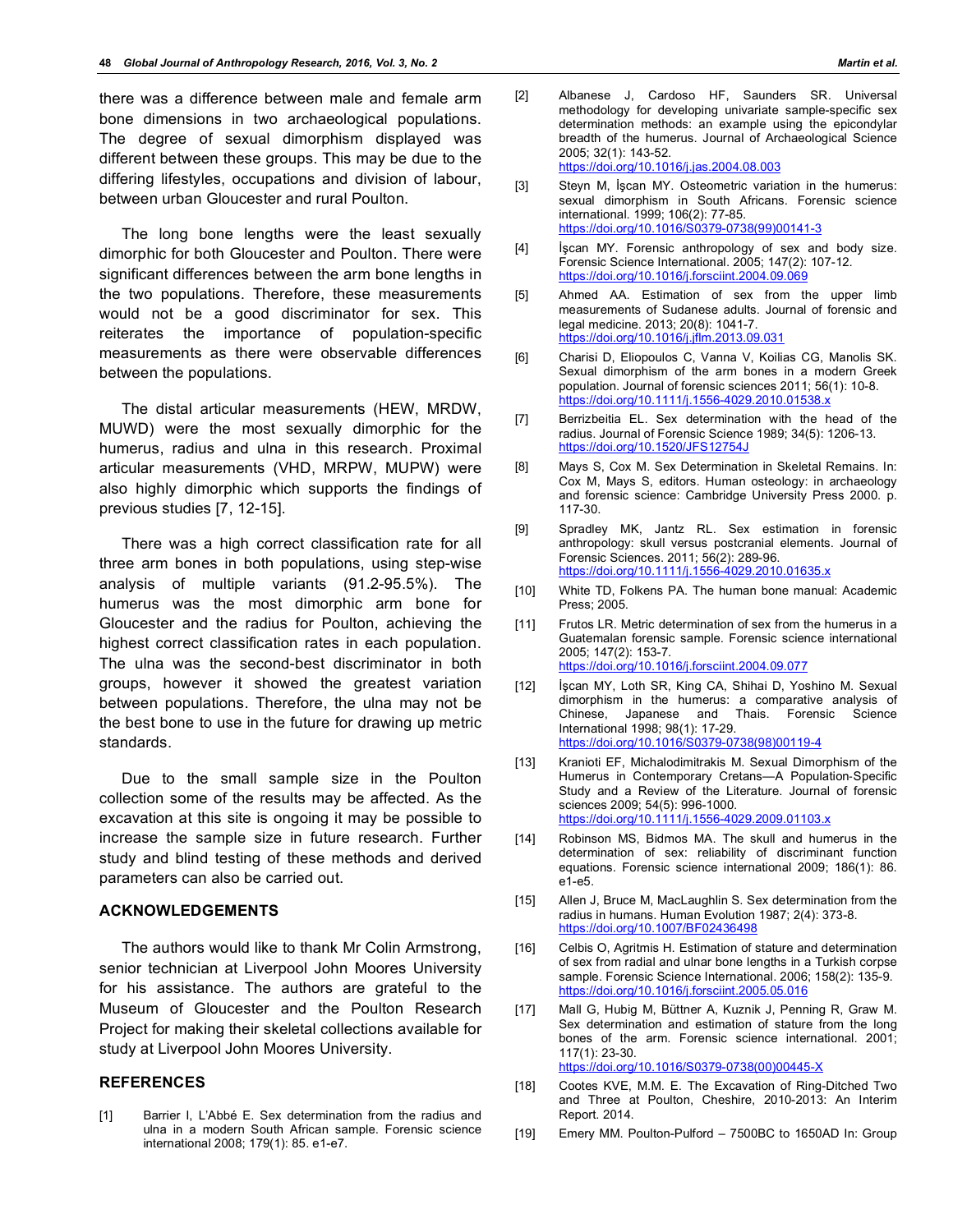there was a difference between male and female arm bone dimensions in two archaeological populations. The degree of sexual dimorphism displayed was different between these groups. This may be due to the differing lifestyles, occupations and division of labour, between urban Gloucester and rural Poulton.

The long bone lengths were the least sexually dimorphic for both Gloucester and Poulton. There were significant differences between the arm bone lengths in the two populations. Therefore, these measurements would not be a good discriminator for sex. This reiterates the importance of population-specific measurements as there were observable differences between the populations.

The distal articular measurements (HEW, MRDW, MUWD) were the most sexually dimorphic for the humerus, radius and ulna in this research. Proximal articular measurements (VHD, MRPW, MUPW) were also highly dimorphic which supports the findings of previous studies [7, 12-15].

There was a high correct classification rate for all three arm bones in both populations, using step-wise analysis of multiple variants (91.2-95.5%). The humerus was the most dimorphic arm bone for Gloucester and the radius for Poulton, achieving the highest correct classification rates in each population. The ulna was the second-best discriminator in both groups, however it showed the greatest variation between populations. Therefore, the ulna may not be the best bone to use in the future for drawing up metric standards.

Due to the small sample size in the Poulton collection some of the results may be affected. As the excavation at this site is ongoing it may be possible to increase the sample size in future research. Further study and blind testing of these methods and derived parameters can also be carried out.

#### **ACKNOWLEDGEMENTS**

The authors would like to thank Mr Colin Armstrong, senior technician at Liverpool John Moores University for his assistance. The authors are grateful to the Museum of Gloucester and the Poulton Research Project for making their skeletal collections available for study at Liverpool John Moores University.

#### **REFERENCES**

[1] Barrier I, L'Abbé E. Sex determination from the radius and ulna in a modern South African sample. Forensic science international 2008; 179(1): 85. e1-e7.

- [2] Albanese J, Cardoso HF, Saunders SR. Universal methodology for developing univariate sample-specific sex determination methods: an example using the epicondylar breadth of the humerus. Journal of Archaeological Science 2005; 32(1): 143-52. https://doi.org/10.1016/j.jas.2004.08.003
- [3] Steyn M, İşcan MY. Osteometric variation in the humerus: sexual dimorphism in South Africans. Forensic science international. 1999; 106(2): 77-85. https://doi.org/10.1016/S0379-0738(99)00141-3
- [4] İşcan MY. Forensic anthropology of sex and body size. Forensic Science International. 2005; 147(2): 107-12. https://doi.org/10.1016/j.forsciint.2004.09.069
- [5] Ahmed AA. Estimation of sex from the upper limb measurements of Sudanese adults. Journal of forensic and legal medicine. 2013; 20(8): 1041-7. https://doi.org/10.1016/j.jflm.2013.09.031
- [6] Charisi D, Eliopoulos C, Vanna V, Koilias CG, Manolis SK. Sexual dimorphism of the arm bones in a modern Greek population. Journal of forensic sciences 2011; 56(1): 10-8. https://doi.org/10.1111/j.1556-4029.2010.01538.x
- [7] Berrizbeitia EL. Sex determination with the head of the radius. Journal of Forensic Science 1989; 34(5): 1206-13. https://doi.org/10.1520/JFS12754J
- [8] Mays S, Cox M. Sex Determination in Skeletal Remains. In: Cox M, Mays S, editors. Human osteology: in archaeology and forensic science: Cambridge University Press 2000. p. 117-30.
- [9] Spradley MK, Jantz RL. Sex estimation in forensic anthropology: skull versus postcranial elements. Journal of Forensic Sciences. 2011; 56(2): 289-96. https://doi.org/10.1111/j.1556-4029.2010.01635.x
- [10] White TD, Folkens PA. The human bone manual: Academic Press; 2005.
- [11] Frutos LR. Metric determination of sex from the humerus in a Guatemalan forensic sample. Forensic science international 2005; 147(2): 153-7. https://doi.org/10.1016/j.forsciint.2004.09.077
- [12] İşcan MY, Loth SR, King CA, Shihai D, Yoshino M. Sexual dimorphism in the humerus: a comparative analysis of Chinese, Japanese and Thais. Forensic Science International 1998; 98(1): 17-29. https://doi.org/10.1016/S0379-0738(98)00119-4
- [13] Kranioti EF, Michalodimitrakis M. Sexual Dimorphism of the Humerus in Contemporary Cretans-A Population-Specific Study and a Review of the Literature. Journal of forensic sciences 2009; 54(5): 996-1000. https://doi.org/10.1111/j.1556-4029.2009.01103.x
- [14] Robinson MS, Bidmos MA. The skull and humerus in the determination of sex: reliability of discriminant function equations. Forensic science international 2009; 186(1): 86. e1-e5.
- [15] Allen J, Bruce M, MacLaughlin S. Sex determination from the radius in humans. Human Evolution 1987; 2(4): 373-8. https://doi.org/10.1007/BF02436498
- [16] Celbis O, Agritmis H. Estimation of stature and determination of sex from radial and ulnar bone lengths in a Turkish corpse sample. Forensic Science International. 2006; 158(2): 135-9. https://doi.org/10.1016/j.forsciint.2005.05.016
- [17] Mall G, Hubig M, Büttner A, Kuznik J, Penning R, Graw M. Sex determination and estimation of stature from the long bones of the arm. Forensic science international. 2001; 117(1): 23-30. https://doi.org/10.1016/S0379-0738(00)00445-X
- [18] Cootes KVE, M.M. E. The Excavation of Ring-Ditched Two and Three at Poulton, Cheshire, 2010-2013: An Interim Report. 2014.
- [19] Emery MM. Poulton-Pulford 7500BC to 1650AD In: Group